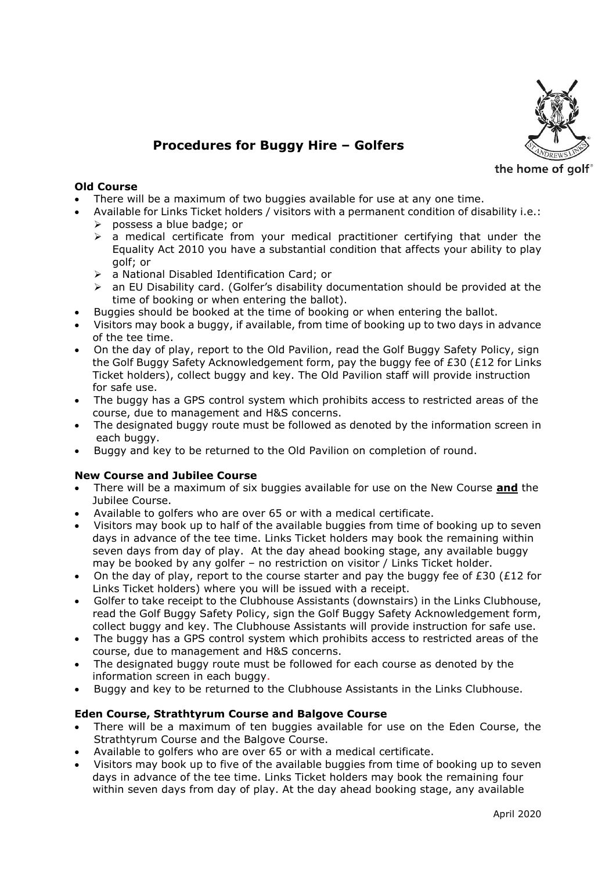

# **Procedures for Buggy Hire – Golfers**

the home of golf

## **Old Course**

- There will be a maximum of two buggies available for use at any one time.
- Available for Links Ticket holders / visitors with a permanent condition of disability i.e.:
	- $\triangleright$  possess a blue badge; or
	- $\triangleright$  a medical certificate from your medical practitioner certifying that under the Equality Act 2010 you have a substantial condition that affects your ability to play golf; or
	- a National Disabled Identification Card; or
	- $\ge$  an EU Disability card. (Golfer's disability documentation should be provided at the time of booking or when entering the ballot).
- Buggies should be booked at the time of booking or when entering the ballot.
- Visitors may book a buggy, if available, from time of booking up to two days in advance of the tee time.
- On the day of play, report to the Old Pavilion, read the Golf Buggy Safety Policy, sign the Golf Buggy Safety Acknowledgement form, pay the buggy fee of  $E30$  ( $E12$  for Links Ticket holders), collect buggy and key. The Old Pavilion staff will provide instruction for safe use.
- The buggy has a GPS control system which prohibits access to restricted areas of the course, due to management and H&S concerns.
- The designated buggy route must be followed as denoted by the information screen in each buggy.
- Buggy and key to be returned to the Old Pavilion on completion of round.

#### **New Course and Jubilee Course**

- There will be a maximum of six buggies available for use on the New Course **and** the Jubilee Course.
- Available to golfers who are over 65 or with a medical certificate.
- Visitors may book up to half of the available buggies from time of booking up to seven days in advance of the tee time. Links Ticket holders may book the remaining within seven days from day of play. At the day ahead booking stage, any available buggy may be booked by any golfer – no restriction on visitor / Links Ticket holder.
- On the day of play, report to the course starter and pay the buggy fee of  $E30$  ( $E12$  for Links Ticket holders) where you will be issued with a receipt.
- Golfer to take receipt to the Clubhouse Assistants (downstairs) in the Links Clubhouse, read the Golf Buggy Safety Policy, sign the Golf Buggy Safety Acknowledgement form, collect buggy and key. The Clubhouse Assistants will provide instruction for safe use.
- The buggy has a GPS control system which prohibits access to restricted areas of the course, due to management and H&S concerns.
- The designated buggy route must be followed for each course as denoted by the information screen in each buggy.
- Buggy and key to be returned to the Clubhouse Assistants in the Links Clubhouse.

#### **Eden Course, Strathtyrum Course and Balgove Course**

- There will be a maximum of ten buggies available for use on the Eden Course, the Strathtyrum Course and the Balgove Course.
- Available to golfers who are over 65 or with a medical certificate.
- Visitors may book up to five of the available buggies from time of booking up to seven days in advance of the tee time. Links Ticket holders may book the remaining four within seven days from day of play. At the day ahead booking stage, any available